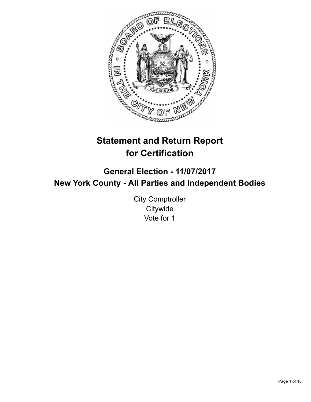

# **Statement and Return Report for Certification**

# **General Election - 11/07/2017 New York County - All Parties and Independent Bodies**

City Comptroller **Citywide** Vote for 1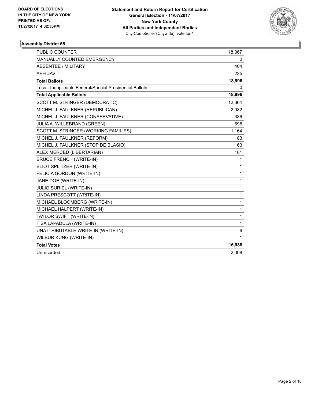

| <b>PUBLIC COUNTER</b>                                    | 18,367 |
|----------------------------------------------------------|--------|
| <b>MANUALLY COUNTED EMERGENCY</b>                        | 0      |
| ABSENTEE / MILITARY                                      | 404    |
| <b>AFFIDAVIT</b>                                         | 225    |
| <b>Total Ballots</b>                                     | 18,996 |
| Less - Inapplicable Federal/Special Presidential Ballots | 0      |
| <b>Total Applicable Ballots</b>                          | 18,996 |
| SCOTT M. STRINGER (DEMOCRATIC)                           | 12,364 |
| MICHEL J. FAULKNER (REPUBLICAN)                          | 2,082  |
| MICHEL J. FAULKNER (CONSERVATIVE)                        | 336    |
| JULIA A. WILLEBRAND (GREEN)                              | 698    |
| SCOTT M. STRINGER (WORKING FAMILIES)                     | 1,164  |
| MICHEL J. FAULKNER (REFORM)                              | 83     |
| MICHEL J. FAULKNER (STOP DE BLASIO)                      | 63     |
| ALEX MERCED (LIBERTARIAN)                                | 181    |
| <b>BRUCE FRENCH (WRITE-IN)</b>                           | 1      |
| ELIOT SPLITZER (WRITE-IN)                                | 1      |
| FELICIA GORDON (WRITE-IN)                                | 1      |
| JANE DOE (WRITE-IN)                                      | 1      |
| JULIO SURIEL (WRITE-IN)                                  | 1      |
| LINDA PRESCOTT (WRITE-IN)                                | 1      |
| MICHAEL BLOOMBERG (WRITE-IN)                             | 1      |
| MICHAEL HALPERT (WRITE-IN)                               | 1      |
| TAYLOR SWIFT (WRITE-IN)                                  | 1      |
| TISA LAPADULA (WRITE-IN)                                 | 1      |
| UNATTRIBUTABLE WRITE-IN (WRITE-IN)                       | 6      |
| <b>WILBUR KUNG (WRITE-IN)</b>                            | 1      |
| <b>Total Votes</b>                                       | 16,988 |
| Unrecorded                                               | 2,008  |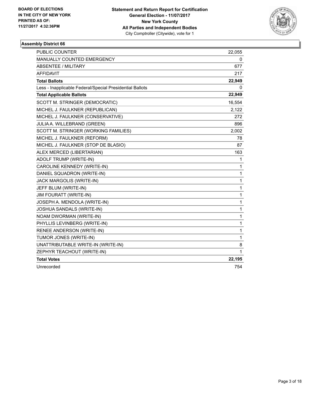

| <b>PUBLIC COUNTER</b>                                    | 22,055       |
|----------------------------------------------------------|--------------|
| MANUALLY COUNTED EMERGENCY                               | 0            |
| <b>ABSENTEE / MILITARY</b>                               | 677          |
| <b>AFFIDAVIT</b>                                         | 217          |
| <b>Total Ballots</b>                                     | 22,949       |
| Less - Inapplicable Federal/Special Presidential Ballots | 0            |
| <b>Total Applicable Ballots</b>                          | 22,949       |
| SCOTT M. STRINGER (DEMOCRATIC)                           | 16,554       |
| MICHEL J. FAULKNER (REPUBLICAN)                          | 2,122        |
| MICHEL J. FAULKNER (CONSERVATIVE)                        | 272          |
| JULIA A. WILLEBRAND (GREEN)                              | 896          |
| SCOTT M. STRINGER (WORKING FAMILIES)                     | 2,002        |
| MICHEL J. FAULKNER (REFORM)                              | 78           |
| MICHEL J. FAULKNER (STOP DE BLASIO)                      | 87           |
| ALEX MERCED (LIBERTARIAN)                                | 163          |
| ADOLF TRUMP (WRITE-IN)                                   | 1            |
| CAROLINE KENNEDY (WRITE-IN)                              | 1            |
| DANIEL SQUADRON (WRITE-IN)                               | 1            |
| JACK MARGOLIS (WRITE-IN)                                 | 1            |
| JEFF BLUM (WRITE-IN)                                     | $\mathbf{1}$ |
| <b>JIM FOURATT (WRITE-IN)</b>                            | 1            |
| JOSEPH A. MENDOLA (WRITE-IN)                             | 1            |
| JOSHUA SANDALS (WRITE-IN)                                | 1            |
| NOAM DWORMAN (WRITE-IN)                                  | 1            |
| PHYLLIS LEVINBERG (WRITE-IN)                             | 1            |
| RENEE ANDERSON (WRITE-IN)                                | 1            |
| TUMOR JONES (WRITE-IN)                                   | 1            |
| UNATTRIBUTABLE WRITE-IN (WRITE-IN)                       | 8            |
| ZEPHYR TEACHOUT (WRITE-IN)                               | 1            |
| <b>Total Votes</b>                                       | 22,195       |
| Unrecorded                                               | 754          |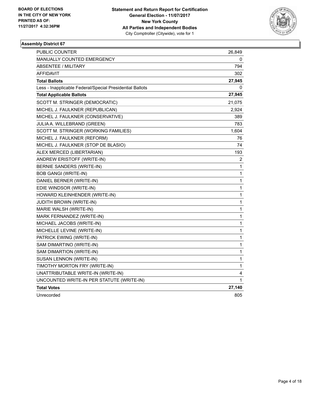

| PUBLIC COUNTER                                           | 26,849 |
|----------------------------------------------------------|--------|
| <b>MANUALLY COUNTED EMERGENCY</b>                        | 0      |
| <b>ABSENTEE / MILITARY</b>                               | 794    |
| <b>AFFIDAVIT</b>                                         | 302    |
| <b>Total Ballots</b>                                     | 27,945 |
| Less - Inapplicable Federal/Special Presidential Ballots | 0      |
| <b>Total Applicable Ballots</b>                          | 27,945 |
| SCOTT M. STRINGER (DEMOCRATIC)                           | 21,075 |
| MICHEL J. FAULKNER (REPUBLICAN)                          | 2,924  |
| MICHEL J. FAULKNER (CONSERVATIVE)                        | 389    |
| JULIA A. WILLEBRAND (GREEN)                              | 783    |
| SCOTT M. STRINGER (WORKING FAMILIES)                     | 1,604  |
| MICHEL J. FAULKNER (REFORM)                              | 76     |
| MICHEL J. FAULKNER (STOP DE BLASIO)                      | 74     |
| ALEX MERCED (LIBERTARIAN)                                | 193    |
| ANDREW ERISTOFF (WRITE-IN)                               | 2      |
| BERNIE SANDERS (WRITE-IN)                                | 1      |
| <b>BOB GANGI (WRITE-IN)</b>                              | 1      |
| DANIEL BERNER (WRITE-IN)                                 | 1      |
| EDIE WINDSOR (WRITE-IN)                                  | 1      |
| HOWARD KLEINHENDER (WRITE-IN)                            | 1      |
| <b>JUDITH BROWN (WRITE-IN)</b>                           | 1      |
| MARIE WALSH (WRITE-IN)                                   | 1      |
| MARK FERNANDEZ (WRITE-IN)                                | 1      |
| MICHAEL JACOBS (WRITE-IN)                                | 1      |
| MICHELLE LEVINE (WRITE-IN)                               | 1      |
| PATRICK EWING (WRITE-IN)                                 | 1      |
| SAM DIMARTINO (WRITE-IN)                                 | 1      |
| SAM DIMARTION (WRITE-IN)                                 | 1      |
| SUSAN LENNON (WRITE-IN)                                  | 1      |
| TIMOTHY MORTON FRY (WRITE-IN)                            | 1      |
| UNATTRIBUTABLE WRITE-IN (WRITE-IN)                       | 4      |
| UNCOUNTED WRITE-IN PER STATUTE (WRITE-IN)                | 1      |
| <b>Total Votes</b>                                       | 27,140 |
| Unrecorded                                               | 805    |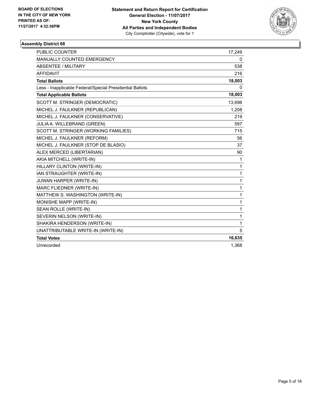

| <b>PUBLIC COUNTER</b>                                    | 17,249       |
|----------------------------------------------------------|--------------|
| <b>MANUALLY COUNTED EMERGENCY</b>                        | 0            |
| <b>ABSENTEE / MILITARY</b>                               | 538          |
| <b>AFFIDAVIT</b>                                         | 216          |
| <b>Total Ballots</b>                                     | 18,003       |
| Less - Inapplicable Federal/Special Presidential Ballots | $\mathbf{0}$ |
| <b>Total Applicable Ballots</b>                          | 18,003       |
| SCOTT M. STRINGER (DEMOCRATIC)                           | 13,698       |
| MICHEL J. FAULKNER (REPUBLICAN)                          | 1,208        |
| MICHEL J. FAULKNER (CONSERVATIVE)                        | 219          |
| JULIA A. WILLEBRAND (GREEN)                              | 597          |
| SCOTT M. STRINGER (WORKING FAMILIES)                     | 715          |
| MICHEL J. FAULKNER (REFORM)                              | 56           |
| MICHEL J. FAULKNER (STOP DE BLASIO)                      | 37           |
| ALEX MERCED (LIBERTARIAN)                                | 90           |
| AKIA MITCHELL (WRITE-IN)                                 | 1            |
| HILLARY CLINTON (WRITE-IN)                               | 1            |
| IAN STRAUGHTER (WRITE-IN)                                | 1            |
| JUWAN HARPER (WRITE-IN)                                  | 1            |
| MARC FLIEDNER (WRITE-IN)                                 | 1            |
| MATTHEW S. WASHINGTON (WRITE-IN)                         | 1            |
| MONISHE MAPP (WRITE-IN)                                  | 1            |
| SEAN ROLLE (WRITE-IN)                                    | 1            |
| SEVERIN NELSON (WRITE-IN)                                | 1            |
| SHAKIRA HENDERSON (WRITE-IN)                             | 1            |
| UNATTRIBUTABLE WRITE-IN (WRITE-IN)                       | 5            |
| <b>Total Votes</b>                                       | 16,635       |
| Unrecorded                                               | 1,368        |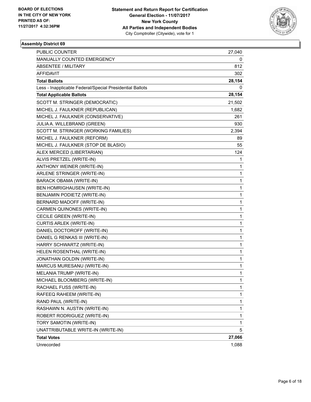

| PUBLIC COUNTER                                           | 27,040       |
|----------------------------------------------------------|--------------|
| MANUALLY COUNTED EMERGENCY                               | 0            |
| ABSENTEE / MILITARY                                      | 812          |
| AFFIDAVIT                                                | 302          |
| <b>Total Ballots</b>                                     | 28,154       |
| Less - Inapplicable Federal/Special Presidential Ballots | 0            |
| <b>Total Applicable Ballots</b>                          | 28,154       |
| SCOTT M. STRINGER (DEMOCRATIC)                           | 21,502       |
| MICHEL J. FAULKNER (REPUBLICAN)                          | 1,682        |
| MICHEL J. FAULKNER (CONSERVATIVE)                        | 261          |
| JULIA A. WILLEBRAND (GREEN)                              | 930          |
| SCOTT M. STRINGER (WORKING FAMILIES)                     | 2,394        |
| MICHEL J. FAULKNER (REFORM)                              | 89           |
| MICHEL J. FAULKNER (STOP DE BLASIO)                      | 55           |
| ALEX MERCED (LIBERTARIAN)                                | 124          |
| ALVIS PRETZEL (WRITE-IN)                                 | 1            |
| ANTHONY WEINER (WRITE-IN)                                | 1            |
| ARLENE STRINGER (WRITE-IN)                               | 1            |
| BARACK OBAMA (WRITE-IN)                                  | 1            |
| BEN HOMRIGHAUSEN (WRITE-IN)                              | 1            |
| BENJAMIN PODIETZ (WRITE-IN)                              | $\mathbf 1$  |
| BERNARD MADOFF (WRITE-IN)                                | 1            |
| CARMEN QUINONES (WRITE-IN)                               | 1            |
| CECILE GREEN (WRITE-IN)                                  | 1            |
| CURTIS ARLEK (WRITE-IN)                                  | 1            |
| DANIEL DOCTOROFF (WRITE-IN)                              | 1            |
| DANIEL G RENKAS III (WRITE-IN)                           | $\mathbf 1$  |
| HARRY SCHWARTZ (WRITE-IN)                                | 1            |
| HELEN ROSENTHAL (WRITE-IN)                               | 1            |
| JONATHAN GOLDIN (WRITE-IN)                               | 1            |
| MARCUS MURESANU (WRITE-IN)                               | 1            |
| <b>MELANIA TRUMP (WRITE-IN)</b>                          | $\mathbf{1}$ |
| MICHAEL BLOOMBERG (WRITE-IN)                             | 1            |
| RACHAEL FUSS (WRITE-IN)                                  | 1            |
| RAFEEQ RAHEEM (WRITE-IN)                                 | 1            |
| RAND PAUL (WRITE-IN)                                     | 1            |
| RASHAWN N. AUSTIN (WRITE-IN)                             | 1            |
| ROBERT RODRIGUEZ (WRITE-IN)                              | 1            |
| TORY SAMOTIN (WRITE-IN)                                  | 1            |
| UNATTRIBUTABLE WRITE-IN (WRITE-IN)                       | 5.           |
| <b>Total Votes</b>                                       | 27,066       |
| Unrecorded                                               | 1,088        |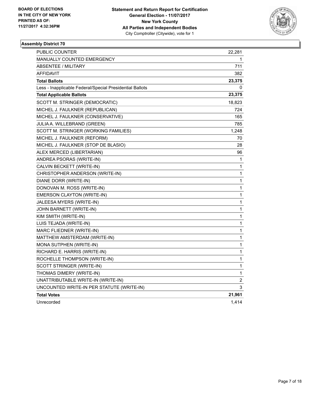

| <b>PUBLIC COUNTER</b>                                    | 22,281      |
|----------------------------------------------------------|-------------|
| <b>MANUALLY COUNTED EMERGENCY</b>                        | 1           |
| <b>ABSENTEE / MILITARY</b>                               | 711         |
| AFFIDAVIT                                                | 382         |
| <b>Total Ballots</b>                                     | 23,375      |
| Less - Inapplicable Federal/Special Presidential Ballots | 0           |
| <b>Total Applicable Ballots</b>                          | 23,375      |
| SCOTT M. STRINGER (DEMOCRATIC)                           | 18,823      |
| MICHEL J. FAULKNER (REPUBLICAN)                          | 724         |
| MICHEL J. FAULKNER (CONSERVATIVE)                        | 165         |
| JULIA A. WILLEBRAND (GREEN)                              | 785         |
| SCOTT M. STRINGER (WORKING FAMILIES)                     | 1,248       |
| MICHEL J. FAULKNER (REFORM)                              | 70          |
| MICHEL J. FAULKNER (STOP DE BLASIO)                      | 28          |
| ALEX MERCED (LIBERTARIAN)                                | 96          |
| ANDREA PSORAS (WRITE-IN)                                 | 1           |
| CALVIN BECKETT (WRITE-IN)                                | 1           |
| CHRISTOPHER ANDERSON (WRITE-IN)                          | 1           |
| DIANE DORR (WRITE-IN)                                    | 1           |
| DONOVAN M. ROSS (WRITE-IN)                               | 1           |
| EMERSON CLAYTON (WRITE-IN)                               | 1           |
| JALEESA MYERS (WRITE-IN)                                 | 1           |
| JOHN BARNETT (WRITE-IN)                                  | 1           |
| KIM SMITH (WRITE-IN)                                     | 1           |
| LUIS TEJADA (WRITE-IN)                                   | 1           |
| MARC FLIEDNER (WRITE-IN)                                 | $\mathbf 1$ |
| MATTHEW AMSTERDAM (WRITE-IN)                             | 1           |
| MONA SUTPHEN (WRITE-IN)                                  | 1           |
| RICHARD E. HARRIS (WRITE-IN)                             | 1           |
| ROCHELLE THOMPSON (WRITE-IN)                             | 1           |
| SCOTT STRINGER (WRITE-IN)                                | $\mathbf 1$ |
| THOMAS DIMERY (WRITE-IN)                                 | 1           |
| UNATTRIBUTABLE WRITE-IN (WRITE-IN)                       | 2           |
| UNCOUNTED WRITE-IN PER STATUTE (WRITE-IN)                | 3           |
| <b>Total Votes</b>                                       | 21,961      |
| Unrecorded                                               | 1,414       |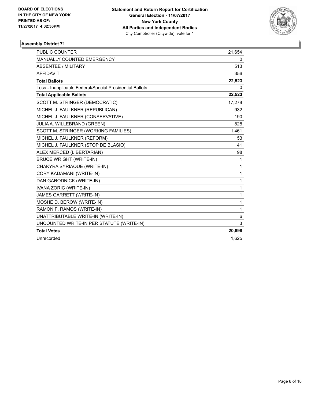

| <b>PUBLIC COUNTER</b>                                    | 21,654       |
|----------------------------------------------------------|--------------|
| MANUALLY COUNTED EMERGENCY                               | 0            |
| <b>ABSENTEE / MILITARY</b>                               | 513          |
| <b>AFFIDAVIT</b>                                         | 356          |
| <b>Total Ballots</b>                                     | 22,523       |
| Less - Inapplicable Federal/Special Presidential Ballots | 0            |
| <b>Total Applicable Ballots</b>                          | 22,523       |
| SCOTT M. STRINGER (DEMOCRATIC)                           | 17,278       |
| MICHEL J. FAULKNER (REPUBLICAN)                          | 932          |
| MICHEL J. FAULKNER (CONSERVATIVE)                        | 190          |
| JULIA A. WILLEBRAND (GREEN)                              | 828          |
| SCOTT M. STRINGER (WORKING FAMILIES)                     | 1,461        |
| MICHEL J. FAULKNER (REFORM)                              | 53           |
| MICHEL J. FAULKNER (STOP DE BLASIO)                      | 41           |
| ALEX MERCED (LIBERTARIAN)                                | 98           |
| <b>BRUCE WRIGHT (WRITE-IN)</b>                           | 1            |
| CHAKYRA SYRIAQUE (WRITE-IN)                              | $\mathbf{1}$ |
| CORY KADAMANI (WRITE-IN)                                 | $\mathbf{1}$ |
| DAN GARODNICK (WRITE-IN)                                 | $\mathbf{1}$ |
| IVANA ZORIC (WRITE-IN)                                   | $\mathbf{1}$ |
| JAMES GARRETT (WRITE-IN)                                 | $\mathbf{1}$ |
| MOSHE D. BEROW (WRITE-IN)                                | $\mathbf{1}$ |
| RAMON F. RAMOS (WRITE-IN)                                | 1            |
| UNATTRIBUTABLE WRITE-IN (WRITE-IN)                       | 6            |
| UNCOUNTED WRITE-IN PER STATUTE (WRITE-IN)                | 3            |
| <b>Total Votes</b>                                       | 20,898       |
| Unrecorded                                               | 1,625        |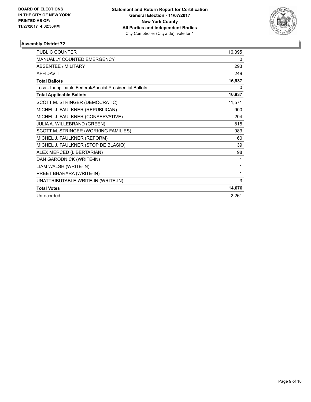

| <b>PUBLIC COUNTER</b>                                    | 16,395 |
|----------------------------------------------------------|--------|
| MANUALLY COUNTED EMERGENCY                               | 0      |
| <b>ABSENTEE / MILITARY</b>                               | 293    |
| <b>AFFIDAVIT</b>                                         | 249    |
| <b>Total Ballots</b>                                     | 16,937 |
| Less - Inapplicable Federal/Special Presidential Ballots | 0      |
| <b>Total Applicable Ballots</b>                          | 16,937 |
| SCOTT M. STRINGER (DEMOCRATIC)                           | 11,571 |
| MICHEL J. FAULKNER (REPUBLICAN)                          | 900    |
| MICHEL J. FAULKNER (CONSERVATIVE)                        | 204    |
| JULIA A. WILLEBRAND (GREEN)                              | 815    |
| SCOTT M. STRINGER (WORKING FAMILIES)                     | 983    |
| MICHEL J. FAULKNER (REFORM)                              | 60     |
| MICHEL J. FAULKNER (STOP DE BLASIO)                      | 39     |
| ALEX MERCED (LIBERTARIAN)                                | 98     |
| DAN GARODNICK (WRITE-IN)                                 | 1      |
| LIAM WALSH (WRITE-IN)                                    | 1      |
| PREET BHARARA (WRITE-IN)                                 | 1      |
| UNATTRIBUTABLE WRITE-IN (WRITE-IN)                       | 3      |
| <b>Total Votes</b>                                       | 14,676 |
| Unrecorded                                               | 2,261  |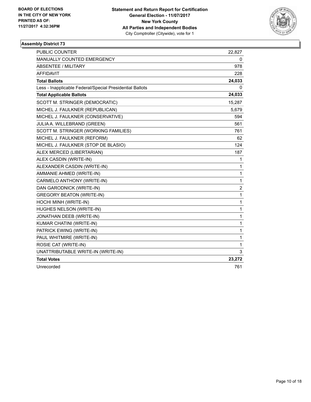

| <b>PUBLIC COUNTER</b>                                    | 22,827       |
|----------------------------------------------------------|--------------|
| MANUALLY COUNTED EMERGENCY                               | 0            |
| <b>ABSENTEE / MILITARY</b>                               | 978          |
| <b>AFFIDAVIT</b>                                         | 228          |
| <b>Total Ballots</b>                                     | 24,033       |
| Less - Inapplicable Federal/Special Presidential Ballots | 0            |
| <b>Total Applicable Ballots</b>                          | 24,033       |
| SCOTT M. STRINGER (DEMOCRATIC)                           | 15,287       |
| MICHEL J. FAULKNER (REPUBLICAN)                          | 5,679        |
| MICHEL J. FAULKNER (CONSERVATIVE)                        | 594          |
| JULIA A. WILLEBRAND (GREEN)                              | 561          |
| SCOTT M. STRINGER (WORKING FAMILIES)                     | 761          |
| MICHEL J. FAULKNER (REFORM)                              | 62           |
| MICHEL J. FAULKNER (STOP DE BLASIO)                      | 124          |
| ALEX MERCED (LIBERTARIAN)                                | 187          |
| ALEX CASDIN (WRITE-IN)                                   | 1            |
| ALEXANDER CASDIN (WRITE-IN)                              | 1            |
| AMMANIE AHMED (WRITE-IN)                                 | $\mathbf{1}$ |
| CARMELO ANTHONY (WRITE-IN)                               | 1            |
| DAN GARODNICK (WRITE-IN)                                 | 2            |
| <b>GREGORY BEATON (WRITE-IN)</b>                         | 1            |
| HOCHI MINH (WRITE-IN)                                    | 1            |
| HUGHES NELSON (WRITE-IN)                                 | 1            |
| JONATHAN DEEB (WRITE-IN)                                 | 1            |
| KUMAR CHATINI (WRITE-IN)                                 | 1            |
| PATRICK EWING (WRITE-IN)                                 | 1            |
| PAUL WHITMIRE (WRITE-IN)                                 | 1            |
| ROSIE CAT (WRITE-IN)                                     | 1            |
| UNATTRIBUTABLE WRITE-IN (WRITE-IN)                       | 3            |
| <b>Total Votes</b>                                       | 23,272       |
| Unrecorded                                               | 761          |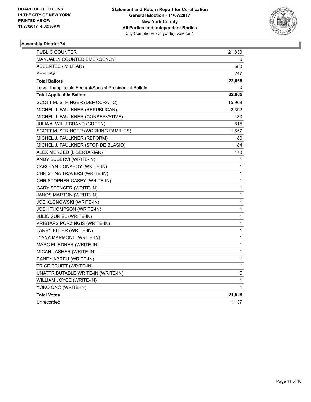

| PUBLIC COUNTER                                           | 21,830 |
|----------------------------------------------------------|--------|
| <b>MANUALLY COUNTED EMERGENCY</b>                        | 0      |
| <b>ABSENTEE / MILITARY</b>                               | 588    |
| <b>AFFIDAVIT</b>                                         | 247    |
| <b>Total Ballots</b>                                     | 22,665 |
| Less - Inapplicable Federal/Special Presidential Ballots | 0      |
| <b>Total Applicable Ballots</b>                          | 22,665 |
| SCOTT M. STRINGER (DEMOCRATIC)                           | 15,969 |
| MICHEL J. FAULKNER (REPUBLICAN)                          | 2,392  |
| MICHEL J. FAULKNER (CONSERVATIVE)                        | 430    |
| JULIA A. WILLEBRAND (GREEN)                              | 815    |
| SCOTT M. STRINGER (WORKING FAMILIES)                     | 1,557  |
| MICHEL J. FAULKNER (REFORM)                              | 80     |
| MICHEL J. FAULKNER (STOP DE BLASIO)                      | 84     |
| ALEX MERCED (LIBERTARIAN)                                | 178    |
| ANDY SUBERVI (WRITE-IN)                                  | 1      |
| CAROLYN CONABOY (WRITE-IN)                               | 1      |
| CHRISTINA TRAVERS (WRITE-IN)                             | 1      |
| CHRISTOPHER CASEY (WRITE-IN)                             | 1      |
| <b>GARY SPENCER (WRITE-IN)</b>                           | 1      |
| JANOS MARTON (WRITE-IN)                                  | 1      |
| JOE KLONOWSKI (WRITE-IN)                                 | 1      |
| <b>JOSH THOMPSON (WRITE-IN)</b>                          | 1      |
| JULIO SURIEL (WRITE-IN)                                  | 1      |
| KRISTAPS PORZINGIS (WRITE-IN)                            | 1      |
| LARRY ELDER (WRITE-IN)                                   | 1      |
| LYANA MARMONT (WRITE-IN)                                 | 1      |
| MARC FLIEDNER (WRITE-IN)                                 | 1      |
| MICAH LASHER (WRITE-IN)                                  | 1      |
| RANDY ABREU (WRITE-IN)                                   | 1      |
| TRICE PRUITT (WRITE-IN)                                  | 1      |
| UNATTRIBUTABLE WRITE-IN (WRITE-IN)                       | 5      |
| WILLIAM JOYCE (WRITE-IN)                                 | 1      |
| YOKO ONO (WRITE-IN)                                      | 1      |
| <b>Total Votes</b>                                       | 21,528 |
| Unrecorded                                               | 1,137  |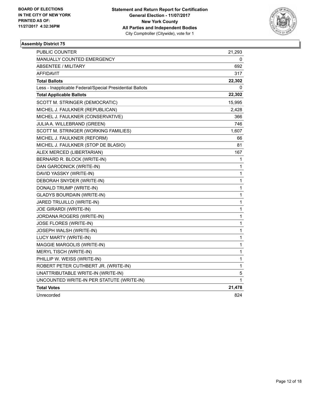

| PUBLIC COUNTER                                           | 21,293       |
|----------------------------------------------------------|--------------|
| MANUALLY COUNTED EMERGENCY                               | 0            |
| ABSENTEE / MILITARY                                      | 692          |
| AFFIDAVIT                                                | 317          |
| <b>Total Ballots</b>                                     | 22,302       |
| Less - Inapplicable Federal/Special Presidential Ballots | 0            |
| <b>Total Applicable Ballots</b>                          | 22,302       |
| SCOTT M. STRINGER (DEMOCRATIC)                           | 15,995       |
| MICHEL J. FAULKNER (REPUBLICAN)                          | 2,428        |
| MICHEL J. FAULKNER (CONSERVATIVE)                        | 366          |
| JULIA A. WILLEBRAND (GREEN)                              | 746          |
| SCOTT M. STRINGER (WORKING FAMILIES)                     | 1,607        |
| MICHEL J. FAULKNER (REFORM)                              | 66           |
| MICHEL J. FAULKNER (STOP DE BLASIO)                      | 81           |
| ALEX MERCED (LIBERTARIAN)                                | 167          |
| BERNARD R. BLOCK (WRITE-IN)                              | 1            |
| DAN GARODNICK (WRITE-IN)                                 | 1            |
| DAVID YASSKY (WRITE-IN)                                  | 1            |
| DEBORAH SNYDER (WRITE-IN)                                | 1            |
| DONALD TRUMP (WRITE-IN)                                  | 1            |
| <b>GLADYS BOURDAIN (WRITE-IN)</b>                        | 1            |
| JARED TRUJILLO (WRITE-IN)                                | $\mathbf{1}$ |
| JOE GIRARDI (WRITE-IN)                                   | 1            |
| JORDANA ROGERS (WRITE-IN)                                | 1            |
| JOSE FLORES (WRITE-IN)                                   | 1            |
| JOSEPH WALSH (WRITE-IN)                                  | 1            |
| LUCY MARTY (WRITE-IN)                                    | 1            |
| MAGGIE MARGOLIS (WRITE-IN)                               | 1            |
| MERYL TISCH (WRITE-IN)                                   | 1            |
| PHILLIP W. WEISS (WRITE-IN)                              | 1            |
| ROBERT PETER CUTHBERT JR. (WRITE-IN)                     | 1            |
| UNATTRIBUTABLE WRITE-IN (WRITE-IN)                       | 5            |
| UNCOUNTED WRITE-IN PER STATUTE (WRITE-IN)                | 1            |
| <b>Total Votes</b>                                       | 21,478       |
| Unrecorded                                               | 824          |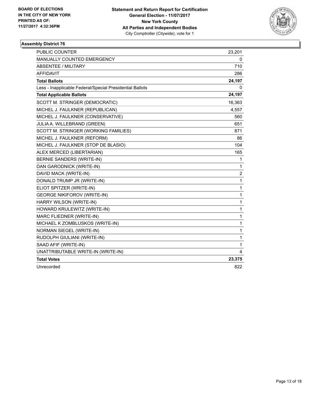

| <b>PUBLIC COUNTER</b>                                    | 23,201                  |
|----------------------------------------------------------|-------------------------|
| MANUALLY COUNTED EMERGENCY                               | 0                       |
| <b>ABSENTEE / MILITARY</b>                               | 710                     |
| <b>AFFIDAVIT</b>                                         | 286                     |
| <b>Total Ballots</b>                                     | 24,197                  |
| Less - Inapplicable Federal/Special Presidential Ballots | 0                       |
| <b>Total Applicable Ballots</b>                          | 24,197                  |
| SCOTT M. STRINGER (DEMOCRATIC)                           | 16,363                  |
| MICHEL J. FAULKNER (REPUBLICAN)                          | 4,557                   |
| MICHEL J. FAULKNER (CONSERVATIVE)                        | 560                     |
| JULIA A. WILLEBRAND (GREEN)                              | 651                     |
| SCOTT M. STRINGER (WORKING FAMILIES)                     | 871                     |
| MICHEL J. FAULKNER (REFORM)                              | 86                      |
| MICHEL J. FAULKNER (STOP DE BLASIO)                      | 104                     |
| ALEX MERCED (LIBERTARIAN)                                | 165                     |
| <b>BERNIE SANDERS (WRITE-IN)</b>                         | 1                       |
| DAN GARODNICK (WRITE-IN)                                 | 1                       |
| DAVID MACK (WRITE-IN)                                    | $\overline{\mathbf{c}}$ |
| DONALD TRUMP JR (WRITE-IN)                               | 1                       |
| ELIOT SPITZER (WRITE-IN)                                 | 1                       |
| <b>GEORGE NIKIFOROV (WRITE-IN)</b>                       | 1                       |
| HARRY WILSON (WRITE-IN)                                  | 1                       |
| HOWARD KRULEWITZ (WRITE-IN)                              | 1                       |
| MARC FLIEDNER (WRITE-IN)                                 | 1                       |
| MICHAEL K ZOMBLUSKOS (WRITE-IN)                          | 1                       |
| NORMAN SIEGEL (WRITE-IN)                                 | 1                       |
| RUDOLPH GIULIANI (WRITE-IN)                              | 1                       |
| SAAD AFIF (WRITE-IN)                                     | 1                       |
| UNATTRIBUTABLE WRITE-IN (WRITE-IN)                       | 4                       |
| <b>Total Votes</b>                                       | 23,375                  |
| Unrecorded                                               | 822                     |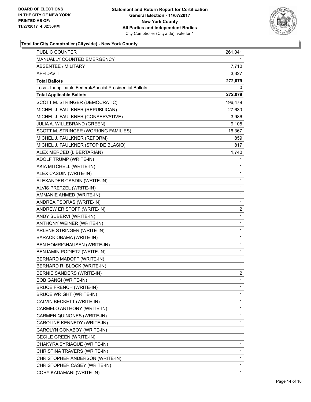

| PUBLIC COUNTER                                           | 261,041        |
|----------------------------------------------------------|----------------|
| MANUALLY COUNTED EMERGENCY                               | 1              |
| <b>ABSENTEE / MILITARY</b>                               | 7,710          |
| AFFIDAVIT                                                | 3,327          |
| <b>Total Ballots</b>                                     | 272,079        |
| Less - Inapplicable Federal/Special Presidential Ballots | 0              |
| <b>Total Applicable Ballots</b>                          | 272,079        |
| SCOTT M. STRINGER (DEMOCRATIC)                           | 196,479        |
| MICHEL J. FAULKNER (REPUBLICAN)                          | 27,630         |
| MICHEL J. FAULKNER (CONSERVATIVE)                        | 3,986          |
| JULIA A. WILLEBRAND (GREEN)                              | 9,105          |
| SCOTT M. STRINGER (WORKING FAMILIES)                     | 16,367         |
| MICHEL J. FAULKNER (REFORM)                              | 859            |
| MICHEL J. FAULKNER (STOP DE BLASIO)                      | 817            |
| ALEX MERCED (LIBERTARIAN)                                | 1,740          |
| ADOLF TRUMP (WRITE-IN)                                   | 1              |
| AKIA MITCHELL (WRITE-IN)                                 | 1              |
| ALEX CASDIN (WRITE-IN)                                   | 1              |
| ALEXANDER CASDIN (WRITE-IN)                              | 1              |
| ALVIS PRETZEL (WRITE-IN)                                 | 1              |
| AMMANIE AHMED (WRITE-IN)                                 | 1              |
| ANDREA PSORAS (WRITE-IN)                                 | 1              |
| ANDREW ERISTOFF (WRITE-IN)                               | $\overline{c}$ |
| ANDY SUBERVI (WRITE-IN)                                  | 1              |
| ANTHONY WEINER (WRITE-IN)                                | 1              |
| ARLENE STRINGER (WRITE-IN)                               | 1              |
| <b>BARACK OBAMA (WRITE-IN)</b>                           | 1              |
| BEN HOMRIGHAUSEN (WRITE-IN)                              | 1              |
| BENJAMIN PODIETZ (WRITE-IN)                              | 1              |
| BERNARD MADOFF (WRITE-IN)                                | 1              |
| BERNARD R. BLOCK (WRITE-IN)                              | 1              |
| <b>BERNIE SANDERS (WRITE-IN)</b>                         | $\overline{2}$ |
| <b>BOB GANGI (WRITE-IN)</b>                              | 1              |
| <b>BRUCE FRENCH (WRITE-IN)</b>                           | 1              |
| <b>BRUCE WRIGHT (WRITE-IN)</b>                           | 1              |
| CALVIN BECKETT (WRITE-IN)                                | 1              |
| CARMELO ANTHONY (WRITE-IN)                               | 1              |
| CARMEN QUINONES (WRITE-IN)                               | 1              |
| CAROLINE KENNEDY (WRITE-IN)                              | 1              |
| CAROLYN CONABOY (WRITE-IN)                               | 1              |
| CECILE GREEN (WRITE-IN)                                  | 1              |
| CHAKYRA SYRIAQUE (WRITE-IN)                              | 1              |
| CHRISTINA TRAVERS (WRITE-IN)                             | 1              |
| CHRISTOPHER ANDERSON (WRITE-IN)                          | 1              |
| CHRISTOPHER CASEY (WRITE-IN)                             | 1              |
| CORY KADAMANI (WRITE-IN)                                 | 1              |
|                                                          |                |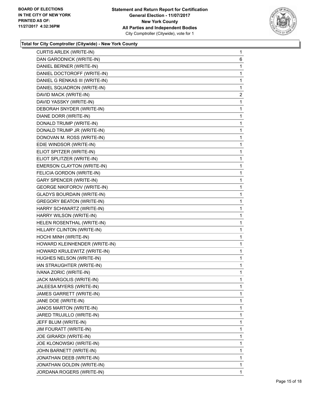

| CURTIS ARLEK (WRITE-IN)            | $\mathbf 1$  |
|------------------------------------|--------------|
| DAN GARODNICK (WRITE-IN)           | 6            |
| DANIEL BERNER (WRITE-IN)           | 1            |
| DANIEL DOCTOROFF (WRITE-IN)        | 1            |
| DANIEL G RENKAS III (WRITE-IN)     | 1            |
| DANIEL SQUADRON (WRITE-IN)         | 1            |
| DAVID MACK (WRITE-IN)              | $\mathbf{2}$ |
| DAVID YASSKY (WRITE-IN)            | 1            |
| DEBORAH SNYDER (WRITE-IN)          | 1            |
| DIANE DORR (WRITE-IN)              | 1            |
| DONALD TRUMP (WRITE-IN)            | 1            |
| DONALD TRUMP JR (WRITE-IN)         | 1            |
| DONOVAN M. ROSS (WRITE-IN)         | 1            |
| EDIE WINDSOR (WRITE-IN)            | 1            |
| ELIOT SPITZER (WRITE-IN)           | 1            |
| ELIOT SPLITZER (WRITE-IN)          | 1            |
| EMERSON CLAYTON (WRITE-IN)         | 1            |
| FELICIA GORDON (WRITE-IN)          | 1            |
| <b>GARY SPENCER (WRITE-IN)</b>     | 1            |
| <b>GEORGE NIKIFOROV (WRITE-IN)</b> | 1            |
| <b>GLADYS BOURDAIN (WRITE-IN)</b>  | 1            |
| <b>GREGORY BEATON (WRITE-IN)</b>   | 1            |
| HARRY SCHWARTZ (WRITE-IN)          | 1            |
| HARRY WILSON (WRITE-IN)            | 1            |
| HELEN ROSENTHAL (WRITE-IN)         | 1            |
| HILLARY CLINTON (WRITE-IN)         | 1            |
| HOCHI MINH (WRITE-IN)              | 1            |
| HOWARD KLEINHENDER (WRITE-IN)      | 1            |
| HOWARD KRULEWITZ (WRITE-IN)        | 1            |
| HUGHES NELSON (WRITE-IN)           | 1            |
| IAN STRAUGHTER (WRITE-IN)          | 1            |
| IVANA ZORIC (WRITE-IN)             | 1            |
| JACK MARGOLIS (WRITE-IN)           | 1            |
| JALEESA MYERS (WRITE-IN)           | 1            |
| JAMES GARRETT (WRITE-IN)           | 1            |
| JANE DOE (WRITE-IN)                | 1            |
| JANOS MARTON (WRITE-IN)            | 1            |
| JARED TRUJILLO (WRITE-IN)          | 1            |
| JEFF BLUM (WRITE-IN)               | 1            |
| JIM FOURATT (WRITE-IN)             | 1            |
| JOE GIRARDI (WRITE-IN)             | 1            |
| JOE KLONOWSKI (WRITE-IN)           | 1            |
| JOHN BARNETT (WRITE-IN)            | 1            |
| JONATHAN DEEB (WRITE-IN)           | 1            |
| JONATHAN GOLDIN (WRITE-IN)         | 1            |
| JORDANA ROGERS (WRITE-IN)          | 1            |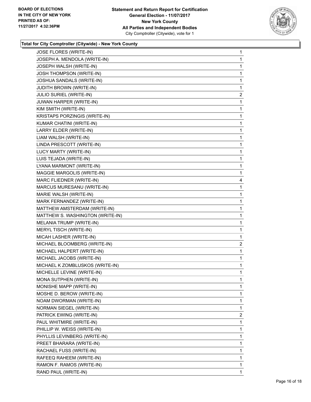

| JOSE FLORES (WRITE-IN)           | 1                       |
|----------------------------------|-------------------------|
| JOSEPH A. MENDOLA (WRITE-IN)     | 1                       |
| JOSEPH WALSH (WRITE-IN)          | 1                       |
| <b>JOSH THOMPSON (WRITE-IN)</b>  | 1                       |
| JOSHUA SANDALS (WRITE-IN)        | 1                       |
| <b>JUDITH BROWN (WRITE-IN)</b>   | 1                       |
| JULIO SURIEL (WRITE-IN)          | $\overline{2}$          |
| JUWAN HARPER (WRITE-IN)          | 1                       |
| KIM SMITH (WRITE-IN)             | 1                       |
| KRISTAPS PORZINGIS (WRITE-IN)    | 1                       |
| KUMAR CHATINI (WRITE-IN)         | 1                       |
| LARRY ELDER (WRITE-IN)           | 1                       |
| LIAM WALSH (WRITE-IN)            | 1                       |
| LINDA PRESCOTT (WRITE-IN)        | 1                       |
| LUCY MARTY (WRITE-IN)            | 1                       |
| LUIS TEJADA (WRITE-IN)           | 1                       |
| LYANA MARMONT (WRITE-IN)         | 1                       |
| MAGGIE MARGOLIS (WRITE-IN)       | 1                       |
| MARC FLIEDNER (WRITE-IN)         | 4                       |
| MARCUS MURESANU (WRITE-IN)       | 1                       |
| MARIE WALSH (WRITE-IN)           | 1                       |
| MARK FERNANDEZ (WRITE-IN)        | 1                       |
| MATTHEW AMSTERDAM (WRITE-IN)     | 1                       |
| MATTHEW S. WASHINGTON (WRITE-IN) | 1                       |
| MELANIA TRUMP (WRITE-IN)         | 1                       |
| MERYL TISCH (WRITE-IN)           | 1                       |
| MICAH LASHER (WRITE-IN)          | 1                       |
| MICHAEL BLOOMBERG (WRITE-IN)     | $\overline{\mathbf{c}}$ |
| MICHAEL HALPERT (WRITE-IN)       | 1                       |
| MICHAEL JACOBS (WRITE-IN)        | 1                       |
| MICHAEL K ZOMBLUSKOS (WRITE-IN)  | 1                       |
| MICHELLE LEVINE (WRITE-IN)       | 1                       |
| MONA SUTPHEN (WRITE-IN)          | 1                       |
| MONISHE MAPP (WRITE-IN)          | 1                       |
| MOSHE D. BEROW (WRITE-IN)        | 1                       |
| NOAM DWORMAN (WRITE-IN)          | 1                       |
| NORMAN SIEGEL (WRITE-IN)         | 1                       |
| PATRICK EWING (WRITE-IN)         | 2                       |
| PAUL WHITMIRE (WRITE-IN)         | 1                       |
| PHILLIP W. WEISS (WRITE-IN)      | 1                       |
| PHYLLIS LEVINBERG (WRITE-IN)     | 1                       |
| PREET BHARARA (WRITE-IN)         | 1                       |
| RACHAEL FUSS (WRITE-IN)          | 1                       |
| RAFEEQ RAHEEM (WRITE-IN)         | 1                       |
| RAMON F. RAMOS (WRITE-IN)        | 1                       |
| RAND PAUL (WRITE-IN)             | 1                       |
|                                  |                         |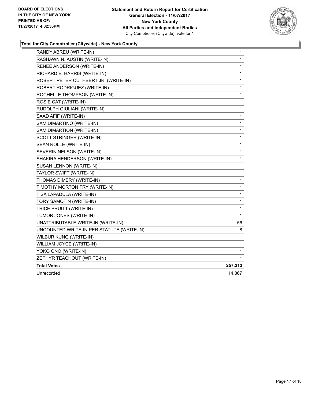

| RANDY ABREU (WRITE-IN)                    | 1            |
|-------------------------------------------|--------------|
| RASHAWN N. AUSTIN (WRITE-IN)              | 1            |
| RENEE ANDERSON (WRITE-IN)                 | 1            |
| RICHARD E. HARRIS (WRITE-IN)              | 1            |
| ROBERT PETER CUTHBERT JR. (WRITE-IN)      | 1            |
| ROBERT RODRIGUEZ (WRITE-IN)               | 1            |
| ROCHELLE THOMPSON (WRITE-IN)              | 1            |
| ROSIE CAT (WRITE-IN)                      | 1            |
| RUDOLPH GIULIANI (WRITE-IN)               | 1            |
| SAAD AFIF (WRITE-IN)                      | 1            |
| SAM DIMARTINO (WRITE-IN)                  | 1            |
| SAM DIMARTION (WRITE-IN)                  | 1            |
| SCOTT STRINGER (WRITE-IN)                 | 1            |
| SEAN ROLLE (WRITE-IN)                     | 1            |
| SEVERIN NELSON (WRITE-IN)                 | 1            |
| SHAKIRA HENDERSON (WRITE-IN)              | 1            |
| SUSAN LENNON (WRITE-IN)                   | 1            |
| TAYLOR SWIFT (WRITE-IN)                   | 1            |
| THOMAS DIMERY (WRITE-IN)                  | 1            |
| TIMOTHY MORTON FRY (WRITE-IN)             | $\mathbf{1}$ |
| TISA LAPADULA (WRITE-IN)                  | 1            |
| TORY SAMOTIN (WRITE-IN)                   | 1            |
| TRICE PRUITT (WRITE-IN)                   | 1            |
| TUMOR JONES (WRITE-IN)                    | 1            |
| UNATTRIBUTABLE WRITE-IN (WRITE-IN)        | 56           |
| UNCOUNTED WRITE-IN PER STATUTE (WRITE-IN) | 8            |
| WILBUR KUNG (WRITE-IN)                    | 1            |
| WILLIAM JOYCE (WRITE-IN)                  | 1            |
| YOKO ONO (WRITE-IN)                       | $\mathbf{1}$ |
| ZEPHYR TEACHOUT (WRITE-IN)                | 1            |
| <b>Total Votes</b>                        | 257,212      |
| Unrecorded                                | 14.867       |